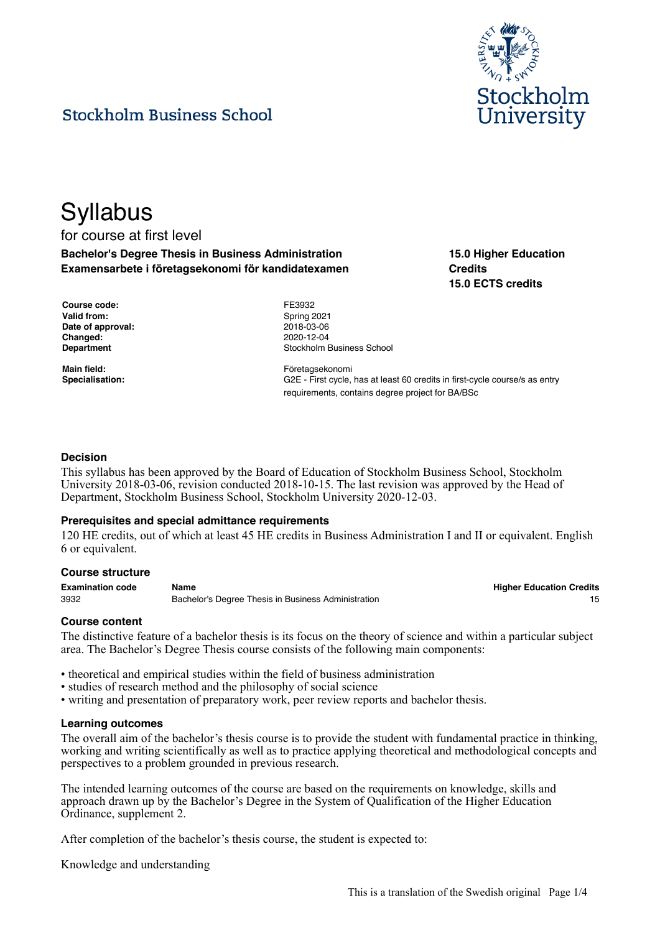

**15.0 Higher Education**

**15.0 ECTS credits**

**Credits**

# **Stockholm Business School**

# **Syllabus**

# for course at first level **Bachelor's Degree Thesis in Business Administration Examensarbete i företagsekonomi för kandidatexamen**

**Course code:** FE3932 **Valid from:** Spring 2021 **Date of approval:** 2018-03-06

**Changed:** 2020-12-04 **Department Constanting Constanting Constanting Constanting Constanting Constanting Constanting Constanting Constanting Constanting Constanting Constanting Constanting Constanting Constanting Constanting Constanting Cons** 

Main field: **Main field: Företagsekonomi Specialisation:** G2E - First cycle, has at least 60 credits in first-cycle course/s as entry requirements, contains degree project for BA/BSc

#### **Decision**

This syllabus has been approved by the Board of Education of Stockholm Business School, Stockholm University 2018-03-06, revision conducted 2018-10-15. The last revision was approved by the Head of Department, Stockholm Business School, Stockholm University 2020-12-03.

#### **Prerequisites and special admittance requirements**

120 HE credits, out of which at least 45 HE credits in Business Administration I and II or equivalent. English 6 or equivalent.

#### **Course structure**

**Examination code Name Higher Education Credits** 3932 Bachelor's Degree Thesis in Business Administration 15

#### **Course content**

The distinctive feature of a bachelor thesis is its focus on the theory of science and within a particular subject area. The Bachelor's Degree Thesis course consists of the following main components:

- theoretical and empirical studies within the field of business administration
- studies of research method and the philosophy of social science
- writing and presentation of preparatory work, peer review reports and bachelor thesis.

#### **Learning outcomes**

The overall aim of the bachelor's thesis course is to provide the student with fundamental practice in thinking, working and writing scientifically as well as to practice applying theoretical and methodological concepts and perspectives to a problem grounded in previous research.

The intended learning outcomes of the course are based on the requirements on knowledge, skills and approach drawn up by the Bachelor's Degree in the System of Qualification of the Higher Education Ordinance, supplement 2.

After completion of the bachelor's thesis course, the student is expected to:

Knowledge and understanding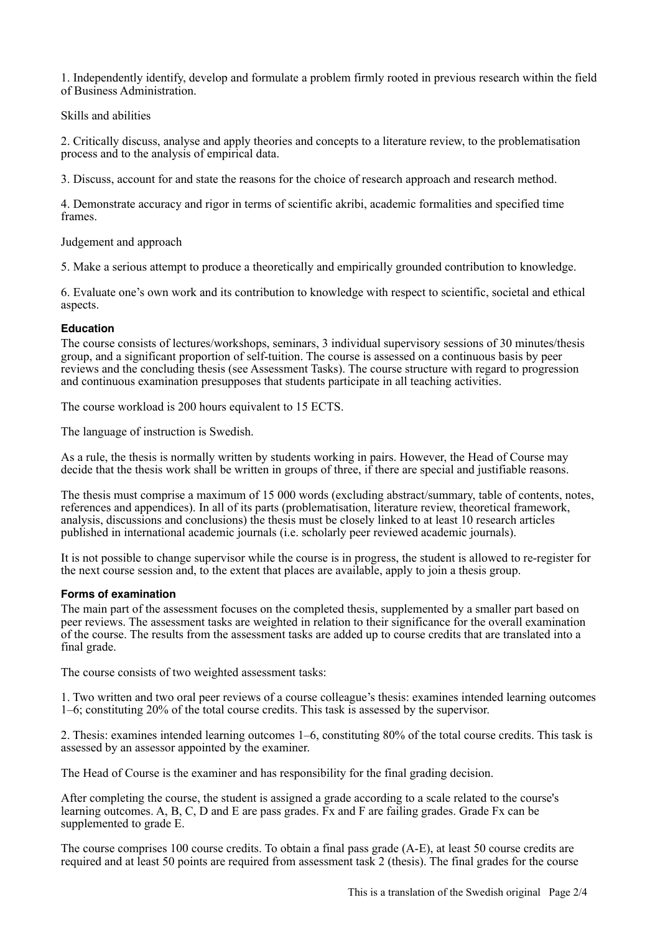1. Independently identify, develop and formulate a problem firmly rooted in previous research within the field of Business Administration.

Skills and abilities

2. Critically discuss, analyse and apply theories and concepts to a literature review, to the problematisation process and to the analysis of empirical data.

3. Discuss, account for and state the reasons for the choice of research approach and research method.

4. Demonstrate accuracy and rigor in terms of scientific akribi, academic formalities and specified time frames.

Judgement and approach

5. Make a serious attempt to produce a theoretically and empirically grounded contribution to knowledge.

6. Evaluate one's own work and its contribution to knowledge with respect to scientific, societal and ethical aspects.

# **Education**

The course consists of lectures/workshops, seminars, 3 individual supervisory sessions of 30 minutes/thesis group, and a significant proportion of self-tuition. The course is assessed on a continuous basis by peer reviews and the concluding thesis (see Assessment Tasks). The course structure with regard to progression and continuous examination presupposes that students participate in all teaching activities.

The course workload is 200 hours equivalent to 15 ECTS.

The language of instruction is Swedish.

As a rule, the thesis is normally written by students working in pairs. However, the Head of Course may decide that the thesis work shall be written in groups of three, if there are special and justifiable reasons.

The thesis must comprise a maximum of 15 000 words (excluding abstract/summary, table of contents, notes, references and appendices). In all of its parts (problematisation, literature review, theoretical framework, analysis, discussions and conclusions) the thesis must be closely linked to at least 10 research articles published in international academic journals (i.e. scholarly peer reviewed academic journals).

It is not possible to change supervisor while the course is in progress, the student is allowed to re-register for the next course session and, to the extent that places are available, apply to join a thesis group.

# **Forms of examination**

The main part of the assessment focuses on the completed thesis, supplemented by a smaller part based on peer reviews. The assessment tasks are weighted in relation to their significance for the overall examination of the course. The results from the assessment tasks are added up to course credits that are translated into a final grade.

The course consists of two weighted assessment tasks:

1. Two written and two oral peer reviews of a course colleague's thesis: examines intended learning outcomes 1–6; constituting 20% of the total course credits. This task is assessed by the supervisor.

2. Thesis: examines intended learning outcomes 1–6, constituting 80% of the total course credits. This task is assessed by an assessor appointed by the examiner.

The Head of Course is the examiner and has responsibility for the final grading decision.

After completing the course, the student is assigned a grade according to a scale related to the course's learning outcomes. A, B, C, D and E are pass grades. Fx and F are failing grades. Grade Fx can be supplemented to grade E.

The course comprises 100 course credits. To obtain a final pass grade (A-E), at least 50 course credits are required and at least 50 points are required from assessment task 2 (thesis). The final grades for the course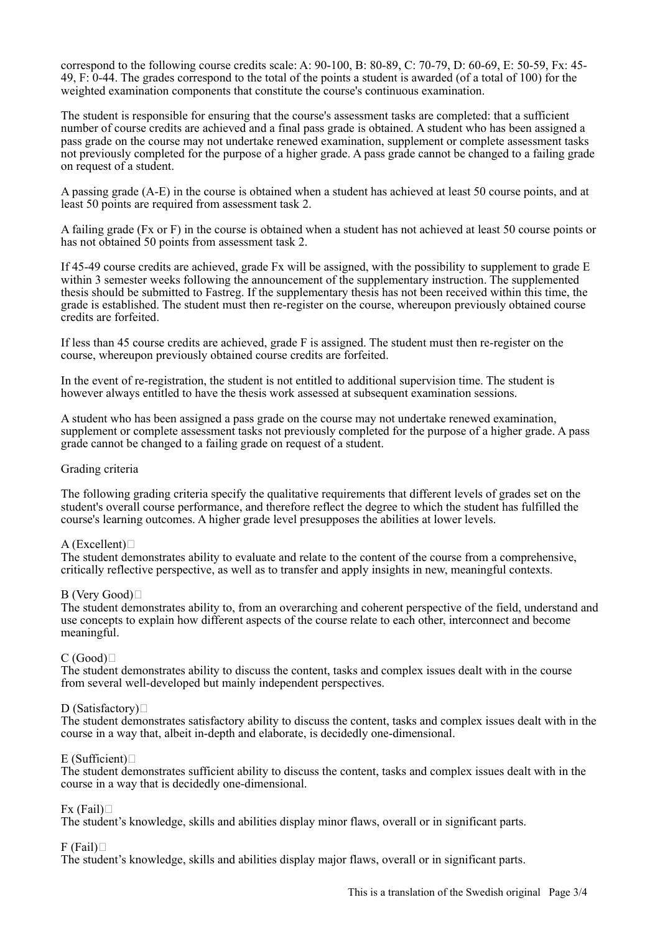correspond to the following course credits scale: A: 90-100, B: 80-89, C: 70-79, D: 60-69, E: 50-59, Fx: 45- 49, F: 0-44. The grades correspond to the total of the points a student is awarded (of a total of 100) for the weighted examination components that constitute the course's continuous examination.

The student is responsible for ensuring that the course's assessment tasks are completed: that a sufficient number of course credits are achieved and a final pass grade is obtained. A student who has been assigned a pass grade on the course may not undertake renewed examination, supplement or complete assessment tasks not previously completed for the purpose of a higher grade. A pass grade cannot be changed to a failing grade on request of a student.

A passing grade (A-E) in the course is obtained when a student has achieved at least 50 course points, and at least 50 points are required from assessment task 2.

A failing grade (Fx or F) in the course is obtained when a student has not achieved at least 50 course points or has not obtained 50 points from assessment task 2.

If 45-49 course credits are achieved, grade Fx will be assigned, with the possibility to supplement to grade E within 3 semester weeks following the announcement of the supplementary instruction. The supplemented thesis should be submitted to Fastreg. If the supplementary thesis has not been received within this time, the grade is established. The student must then re-register on the course, whereupon previously obtained course credits are forfeited.

If less than 45 course credits are achieved, grade F is assigned. The student must then re-register on the course, whereupon previously obtained course credits are forfeited.

In the event of re-registration, the student is not entitled to additional supervision time. The student is however always entitled to have the thesis work assessed at subsequent examination sessions.

A student who has been assigned a pass grade on the course may not undertake renewed examination, supplement or complete assessment tasks not previously completed for the purpose of a higher grade. A pass grade cannot be changed to a failing grade on request of a student.

### Grading criteria

The following grading criteria specify the qualitative requirements that different levels of grades set on the student's overall course performance, and therefore reflect the degree to which the student has fulfilled the course's learning outcomes. A higher grade level presupposes the abilities at lower levels.

#### A (Excellent) $\Box$

The student demonstrates ability to evaluate and relate to the content of the course from a comprehensive, critically reflective perspective, as well as to transfer and apply insights in new, meaningful contexts.

#### B (Very Good)

The student demonstrates ability to, from an overarching and coherent perspective of the field, understand and use concepts to explain how different aspects of the course relate to each other, interconnect and become meaningful.

#### $C(Good)$

The student demonstrates ability to discuss the content, tasks and complex issues dealt with in the course from several well-developed but mainly independent perspectives.

# D (Satisfactory) $\Box$

The student demonstrates satisfactory ability to discuss the content, tasks and complex issues dealt with in the course in a way that, albeit in-depth and elaborate, is decidedly one-dimensional.

# $E$  (Sufficient) $\Box$

The student demonstrates sufficient ability to discuss the content, tasks and complex issues dealt with in the course in a way that is decidedly one-dimensional.

# $Fx$  (Fail) $\Box$

The student's knowledge, skills and abilities display minor flaws, overall or in significant parts.

# $F$  (Fail) $\Box$

The student's knowledge, skills and abilities display major flaws, overall or in significant parts.